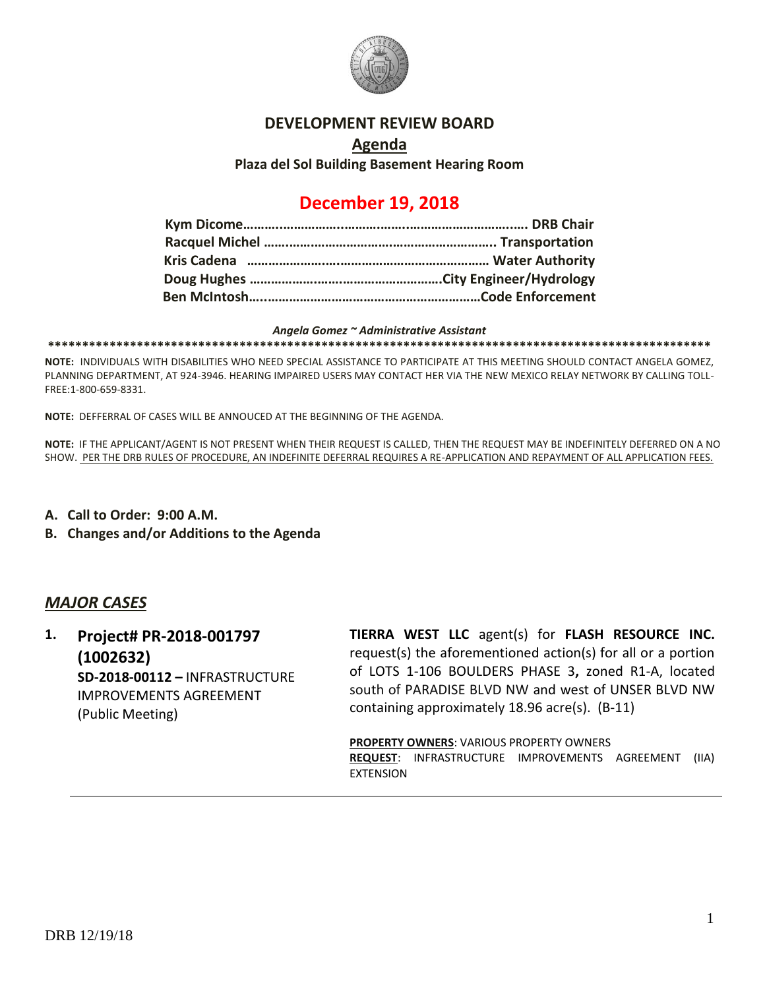

#### **DEVELOPMENT REVIEW BOARD**

## **Agenda Plaza del Sol Building Basement Hearing Room**

# **December 19, 2018**

#### *Angela Gomez ~ Administrative Assistant*

**\*\*\*\*\*\*\*\*\*\*\*\*\*\*\*\*\*\*\*\*\*\*\*\*\*\*\*\*\*\*\*\*\*\*\*\*\*\*\*\*\*\*\*\*\*\*\*\*\*\*\*\*\*\*\*\*\*\*\*\*\*\*\*\*\*\*\*\*\*\*\*\*\*\*\*\*\*\*\*\*\*\*\*\*\*\*\*\*\*\*\*\*\*\*\*\*\***

**NOTE:** INDIVIDUALS WITH DISABILITIES WHO NEED SPECIAL ASSISTANCE TO PARTICIPATE AT THIS MEETING SHOULD CONTACT ANGELA GOMEZ, PLANNING DEPARTMENT, AT 924-3946. HEARING IMPAIRED USERS MAY CONTACT HER VIA THE NEW MEXICO RELAY NETWORK BY CALLING TOLL-FREE:1-800-659-8331.

**NOTE:** DEFFERRAL OF CASES WILL BE ANNOUCED AT THE BEGINNING OF THE AGENDA.

**NOTE:** IF THE APPLICANT/AGENT IS NOT PRESENT WHEN THEIR REQUEST IS CALLED, THEN THE REQUEST MAY BE INDEFINITELY DEFERRED ON A NO SHOW. PER THE DRB RULES OF PROCEDURE, AN INDEFINITE DEFERRAL REQUIRES A RE-APPLICATION AND REPAYMENT OF ALL APPLICATION FEES.

- **A. Call to Order: 9:00 A.M.**
- **B. Changes and/or Additions to the Agenda**

### *MAJOR CASES*

**1. Project# PR-2018-001797 (1002632) SD-2018-00112 –** INFRASTRUCTURE IMPROVEMENTS AGREEMENT (Public Meeting)

**TIERRA WEST LLC** agent(s) for **FLASH RESOURCE INC.** request(s) the aforementioned action(s) for all or a portion of LOTS 1-106 BOULDERS PHASE 3**,** zoned R1-A, located south of PARADISE BLVD NW and west of UNSER BLVD NW containing approximately 18.96 acre(s). (B-11)

**PROPERTY OWNERS**: VARIOUS PROPERTY OWNERS **REQUEST**: INFRASTRUCTURE IMPROVEMENTS AGREEMENT (IIA) EXTENSION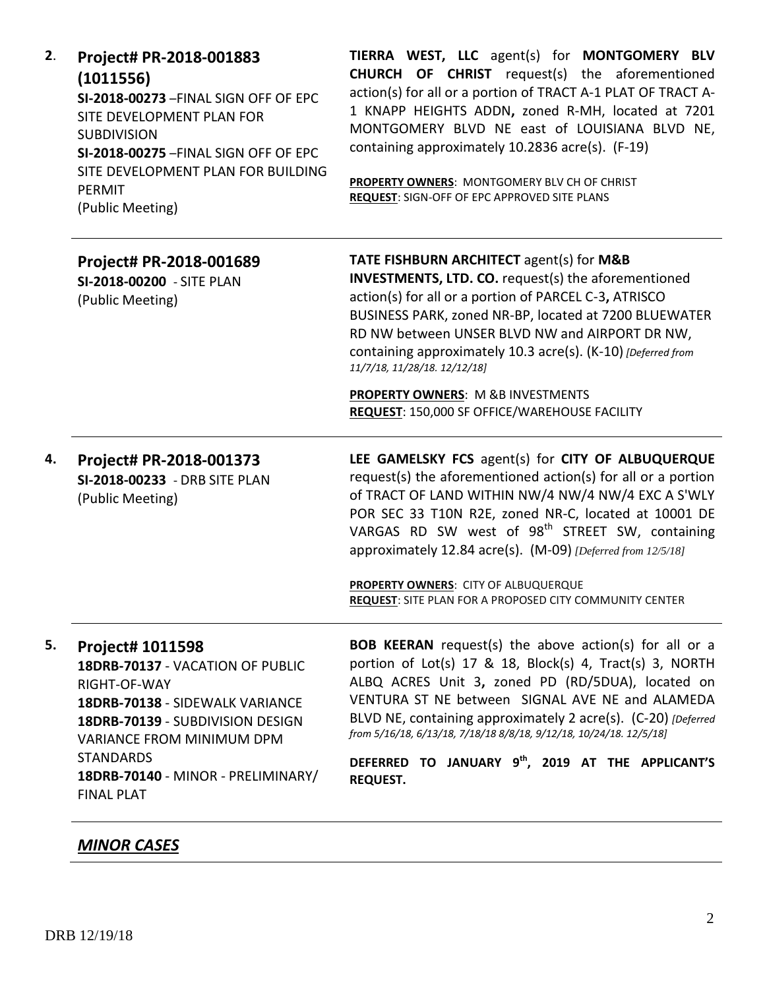| 2. | Project# PR-2018-001883<br>(1011556)<br>SI-2018-00273-FINAL SIGN OFF OF EPC<br>SITE DEVELOPMENT PLAN FOR<br><b>SUBDIVISION</b><br>SI-2018-00275-FINAL SIGN OFF OF EPC<br>SITE DEVELOPMENT PLAN FOR BUILDING<br>PERMIT<br>(Public Meeting)                      | TIERRA WEST, LLC agent(s) for MONTGOMERY BLV<br><b>CHURCH OF CHRIST</b> request(s) the aforementioned<br>action(s) for all or a portion of TRACT A-1 PLAT OF TRACT A-<br>1 KNAPP HEIGHTS ADDN, zoned R-MH, located at 7201<br>MONTGOMERY BLVD NE east of LOUISIANA BLVD NE,<br>containing approximately 10.2836 acre(s). (F-19)<br>PROPERTY OWNERS: MONTGOMERY BLV CH OF CHRIST<br>REQUEST: SIGN-OFF OF EPC APPROVED SITE PLANS                                                        |
|----|----------------------------------------------------------------------------------------------------------------------------------------------------------------------------------------------------------------------------------------------------------------|----------------------------------------------------------------------------------------------------------------------------------------------------------------------------------------------------------------------------------------------------------------------------------------------------------------------------------------------------------------------------------------------------------------------------------------------------------------------------------------|
|    | Project# PR-2018-001689<br>SI-2018-00200 - SITE PLAN<br>(Public Meeting)                                                                                                                                                                                       | <b>TATE FISHBURN ARCHITECT agent(s) for M&amp;B</b><br><b>INVESTMENTS, LTD. CO.</b> request(s) the aforementioned<br>action(s) for all or a portion of PARCEL C-3, ATRISCO<br>BUSINESS PARK, zoned NR-BP, located at 7200 BLUEWATER<br>RD NW between UNSER BLVD NW and AIRPORT DR NW,<br>containing approximately 10.3 acre(s). (K-10) [Deferred from<br>11/7/18, 11/28/18. 12/12/18]<br><b>PROPERTY OWNERS: M &amp;B INVESTMENTS</b><br>REQUEST: 150,000 SF OFFICE/WAREHOUSE FACILITY |
| 4. | Project# PR-2018-001373<br>SI-2018-00233 - DRB SITE PLAN<br>(Public Meeting)                                                                                                                                                                                   | LEE GAMELSKY FCS agent(s) for CITY OF ALBUQUERQUE<br>request(s) the aforementioned action(s) for all or a portion<br>of TRACT OF LAND WITHIN NW/4 NW/4 NW/4 EXC A S'WLY<br>POR SEC 33 T10N R2E, zoned NR-C, located at 10001 DE<br>VARGAS RD SW west of 98 <sup>th</sup> STREET SW, containing<br>approximately 12.84 acre(s). (M-09) [Deferred from 12/5/18]<br>PROPERTY OWNERS: CITY OF ALBUQUERQUE<br><b>REQUEST:</b> SITE PLAN FOR A PROPOSED CITY COMMUNITY CENTER                |
| 5. | Project# 1011598<br>18DRB-70137 - VACATION OF PUBLIC<br>RIGHT-OF-WAY<br>18DRB-70138 - SIDEWALK VARIANCE<br>18DRB-70139 - SUBDIVISION DESIGN<br><b>VARIANCE FROM MINIMUM DPM</b><br><b>STANDARDS</b><br>18DRB-70140 - MINOR - PRELIMINARY/<br><b>FINAL PLAT</b> | <b>BOB KEERAN</b> request(s) the above action(s) for all or a<br>portion of Lot(s) 17 & 18, Block(s) 4, Tract(s) 3, NORTH<br>ALBQ ACRES Unit 3, zoned PD (RD/5DUA), located on<br>VENTURA ST NE between SIGNAL AVE NE and ALAMEDA<br>BLVD NE, containing approximately 2 acre(s). (C-20) [Deferred<br>from 5/16/18, 6/13/18, 7/18/18 8/8/18, 9/12/18, 10/24/18. 12/5/18]<br>DEFERRED TO JANUARY 9th, 2019 AT THE APPLICANT'S<br><b>REQUEST.</b>                                        |

# *MINOR CASES*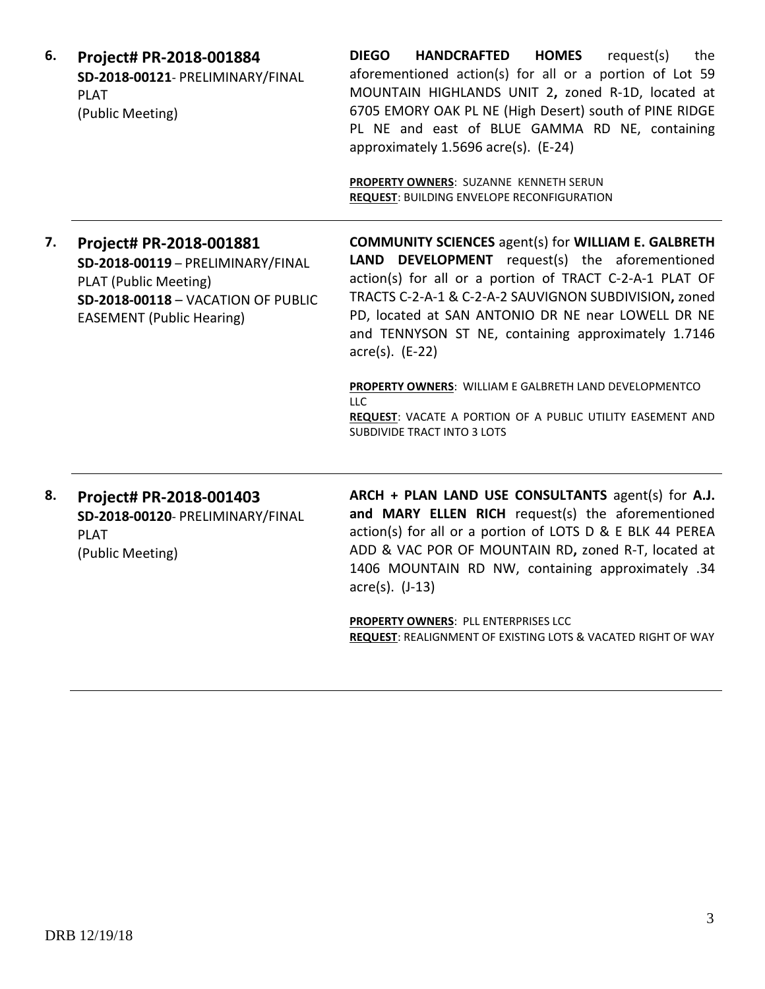| 6. | Project# PR-2018-001884<br>SD-2018-00121- PRELIMINARY/FINAL<br><b>PLAT</b><br>(Public Meeting)                                                                  | <b>DIEGO</b><br><b>HOMES</b><br><b>HANDCRAFTED</b><br>request(s)<br>the<br>aforementioned action(s) for all or a portion of Lot 59<br>MOUNTAIN HIGHLANDS UNIT 2, zoned R-1D, located at<br>6705 EMORY OAK PL NE (High Desert) south of PINE RIDGE<br>PL NE and east of BLUE GAMMA RD NE, containing<br>approximately 1.5696 acre(s). (E-24)<br>PROPERTY OWNERS: SUZANNE KENNETH SERUN<br><b>REQUEST: BUILDING ENVELOPE RECONFIGURATION</b>                                                                  |
|----|-----------------------------------------------------------------------------------------------------------------------------------------------------------------|-------------------------------------------------------------------------------------------------------------------------------------------------------------------------------------------------------------------------------------------------------------------------------------------------------------------------------------------------------------------------------------------------------------------------------------------------------------------------------------------------------------|
| 7. | Project# PR-2018-001881<br>SD-2018-00119 - PRELIMINARY/FINAL<br>PLAT (Public Meeting)<br>SD-2018-00118 - VACATION OF PUBLIC<br><b>EASEMENT (Public Hearing)</b> | <b>COMMUNITY SCIENCES</b> agent(s) for WILLIAM E. GALBRETH<br>LAND DEVELOPMENT request(s) the aforementioned<br>action(s) for all or a portion of TRACT C-2-A-1 PLAT OF<br>TRACTS C-2-A-1 & C-2-A-2 SAUVIGNON SUBDIVISION, zoned<br>PD, located at SAN ANTONIO DR NE near LOWELL DR NE<br>and TENNYSON ST NE, containing approximately 1.7146<br>$\arccos 0$ . (E-22)<br>PROPERTY OWNERS: WILLIAM E GALBRETH LAND DEVELOPMENTCO<br><b>LLC</b><br>REQUEST: VACATE A PORTION OF A PUBLIC UTILITY EASEMENT AND |
|    |                                                                                                                                                                 | SUBDIVIDE TRACT INTO 3 LOTS                                                                                                                                                                                                                                                                                                                                                                                                                                                                                 |
| 8. | Project# PR-2018-001403<br>SD-2018-00120- PRELIMINARY/FINAL<br><b>PLAT</b><br>(Public Meeting)                                                                  | ARCH + PLAN LAND USE CONSULTANTS agent(s) for A.J.<br>and MARY ELLEN RICH request(s) the aforementioned<br>action(s) for all or a portion of LOTS D & E BLK 44 PEREA<br>ADD & VAC POR OF MOUNTAIN RD, zoned R-T, located at<br>1406 MOUNTAIN RD NW, containing approximately .34<br>$\arccos(5)$ . (J-13)                                                                                                                                                                                                   |

**PROPERTY OWNERS**: PLL ENTERPRISES LCC **REQUEST**: REALIGNMENT OF EXISTING LOTS & VACATED RIGHT OF WAY